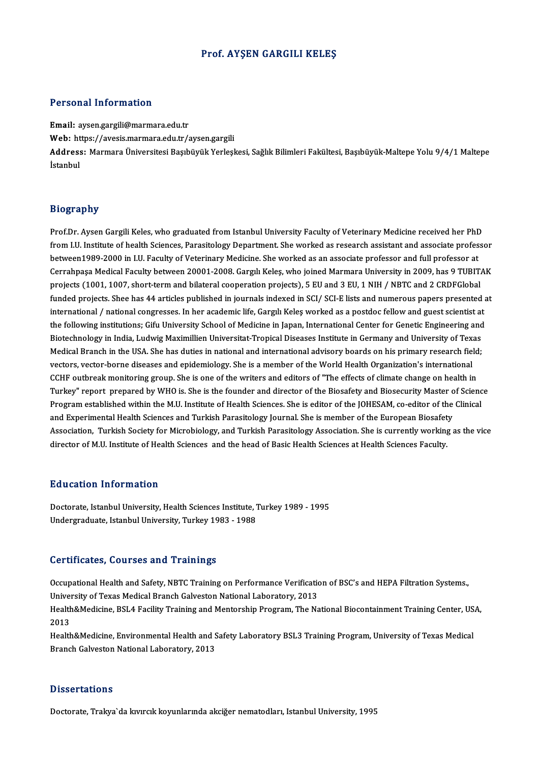## Prof. AYŞEN GARGILI KELEŞ

## Personal Information

Email: aysen.gargili@marmara.edu.tr r eroonar meeren<br>Email: aysen.gargili@marmara.edu.tr<br>Web: https://avesis.marmara.edu.tr/aysen.gargili<br>Address. Marmara Üniversitesi Basıbüyük Yorlasl Address: Marmara Üniversitesi Başıbüyük Yerleşkesi, Sağlık Bilimleri Fakültesi, Başıbüyük-Maltepe Yolu 9/4/1 Maltepe<br>İstanbul Web: ht<br>Address<br>İstanbul

## Biography

Bi<mark>ography</mark><br>Prof.Dr. Aysen Gargili Keles, who graduated from Istanbul University Faculty of Veterinary Medicine received her PhD<br>from UU Institute of health Sciences, Barasitelogy Denartment, She worked as research assista frography<br>Prof.Dr. Aysen Gargili Keles, who graduated from Istanbul University Faculty of Veterinary Medicine received her PhD<br>from I.U. Institute of health Sciences, Parasitology Department. She worked as research assista Prof.Dr. Aysen Gargili Keles, who graduated from Istanbul University Faculty of Veterinary Medicine received her PhD<br>from I.U. Institute of health Sciences, Parasitology Department. She worked as research assistant and ass from I.U. Institute of health Sciences, Parasitology Department. She worked as research assistant and associate professor<br>between1989-2000 in I.U. Faculty of Veterinary Medicine. She worked as an associate professor and fu Cerrahpaşa Medical Faculty between 20001-2008. Gargılı Keleş, who joined Marmara University in 2009, has 9 TUBITAK funded projects. Shee has 44 articles published in journals indexed in SCI/ SCI-E lists and numerous papers presented at projects (1001, 1007, short-term and bilateral cooperation projects), 5 EU and 3 EU, 1 NIH / NBTC and 2 CRDFGlobal<br>funded projects. Shee has 44 articles published in journals indexed in SCI/ SCI-E lists and numerous papers funded projects. Shee has 44 articles published in journals indexed in SCI/ SCI-E lists and numerous papers presented a<br>international / national congresses. In her academic life, Gargul Keleş worked as a postdoc fellow and international / national congresses. In her academic life, Gargılı Keleş worked as a postdoc fellow and guest scientist at<br>the following institutions; Gifu University School of Medicine in Japan, International Center for G the following institutions; Gifu University School of Medicine in Japan, International Center for Genetic Engineering and<br>Biotechnology in India, Ludwig Maximillien Universitat-Tropical Diseases Institute in Germany and Un Biotechnology in India, Ludwig Maximillien Universitat-Tropical Diseases Institute in Germany and University of Tex<br>Medical Branch in the USA. She has duties in national and international advisory boards on his primary res Medical Branch in the USA. She has duties in national and international advisory boards on his primary research field<br>vectors, vector-borne diseases and epidemiology. She is a member of the World Health Organization's inte vectors, vector-borne diseases and epidemiology. She is a member of the World Health Organization's international<br>CCHF outbreak monitoring group. She is one of the writers and editors of "The effects of climate change on h CCHF outbreak monitoring group. She is one of the writers and editors of "The effects of climate change on health in<br>Turkey" report prepared by WHO is. She is the founder and director of the Biosafety and Biosecurity Maste Turkey" report prepared by WHO is. She is the founder and director of the Biosafety and Biosecurity Master of<br>Program established within the M.U. Institute of Health Sciences. She is editor of the JOHESAM, co-editor of the Program established within the M.U. Institute of Health Sciences. She is editor of the JOHESAM, co-editor of the Clinical<br>and Experimental Health Sciences and Turkish Parasitology Journal. She is member of the European Bio and Experimental Health Sciences and Turkish Parasitology Journal. She is member of the European Biosafet<br>Association, Turkish Society for Microbiology, and Turkish Parasitology Association. She is currently working<br>direc director of M.U. Institute of Health Sciences and the head of Basic Health Sciences at Health Sciences Faculty.<br>Education Information

Doctorate, Istanbul University, Health Sciences Institute, Turkey 1989 - 1995 Undergraduate, Istanbul University, Turkey 1983 - 1988

## Certificates, Courses and Trainings

Occupational Health and Safety, NBTC Training on Performance Verification of BSC's and HEPA Filtration Systems. University of Texas Medical Branch Galveston National Laboratory, 2013 Occupational Health and Safety, NBTC Training on Performance Verification of BSC's and HEPA Filtration Systems.,<br>University of Texas Medical Branch Galveston National Laboratory, 2013<br>Health&Medicine, BSL4 Facility Trainin

Univer<br>Health<br>2013<br>Health Health&Medicine, BSL4 Facility Training and Mentorship Program, The National Biocontainment Training Center, US<br>2013<br>Health&Medicine, Environmental Health and Safety Laboratory BSL3 Training Program, University of Texas Me

2013<br>Health&Medicine, Environmental Health and Safety Laboratory BSL3 Training Program, University of Texas Medical<br>Branch Galveston National Laboratory, 2013

### **Dissertations**

Doctorate,Trakya`da kıvırcıkkoyunlarında akciğer nematodları, IstanbulUniversity,1995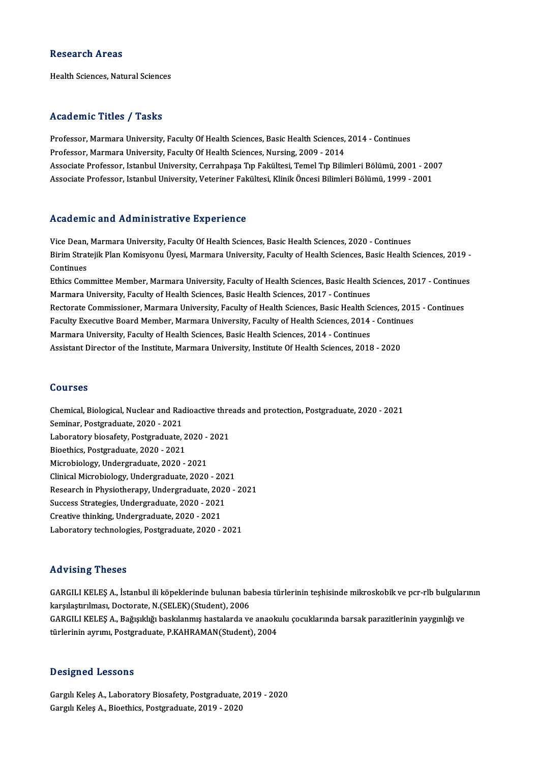## **Research Areas**

Health Sciences, Natural Sciences

## Academic Titles / Tasks

Academic Titles / Tasks<br>Professor, Marmara University, Faculty Of Health Sciences, Basic Health Sciences, 2014 - Continues<br>Professor, Marmara University, Faculty Of Health Sciences, Basic Health Sciences, 2014 Professor, Marmara University, Faculty Of Health Sciences, Basic Health Sciences,<br>Professor, Marmara University, Faculty Of Health Sciences, Nursing, 2009 - 2014<br>Assesiste Professor, Istanbul University, Carrabases Typ Fel Professor, Marmara University, Faculty Of Health Sciences, Basic Health Sciences, 2014 - Continues<br>Professor, Marmara University, Faculty Of Health Sciences, Nursing, 2009 - 2014<br>Associate Professor, Istanbul University, C Professor, Marmara University, Faculty Of Health Sciences, Nursing, 2009 - 2014<br>Associate Professor, Istanbul University, Cerrahpaşa Tıp Fakültesi, Temel Tıp Bilimleri Bölümü, 2001 - 200<br>Associate Professor, Istanbul Unive Associate Professor, Istanbul University, Veteriner Fakültesi, Klinik Öncesi Bilimleri Bölümü, 1999 - 2001<br>Academic and Administrative Experience

Vice Dean, Marmara University, Faculty Of Health Sciences, Basic Health Sciences, 2020 - Continues redutenne und rrunnmeerdere Birjerrenee<br>Vice Dean, Marmara University, Faculty Of Health Sciences, Basic Health Sciences, 2020 - Continues<br>Birim Stratejik Plan Komisyonu Üyesi, Marmara University, Faculty of Health Science Vice Dean,<br>Birim Strat<br>Continues<br>Ethics Com Birim Stratejik Plan Komisyonu Üyesi, Marmara University, Faculty of Health Sciences, Basic Health Sciences, 2019 -<br>Continues<br>Ethics Committee Member, Marmara University, Faculty of Health Sciences, Basic Health Sciences,

Continues<br>Ethics Committee Member, Marmara University, Faculty of Health Sciences, Basic Health<br>Marmara University, Faculty of Health Sciences, Basic Health Sciences, 2017 - Continues<br>Restante Commissioner, Marmara Univers Ethics Committee Member, Marmara University, Faculty of Health Sciences, Basic Health Sciences, 2017 - Continue<br>Marmara University, Faculty of Health Sciences, Basic Health Sciences, 2017 - Continues<br>Rectorate Commissioner Marmara University, Faculty of Health Sciences, Basic Health Sciences, 2017 - Continues<br>Rectorate Commissioner, Marmara University, Faculty of Health Sciences, Basic Health Sciences, 201<br>Faculty Executive Board Member, Mar Rectorate Commissioner, Marmara University, Faculty of Health Sciences, Basic Health Sc<br>Faculty Executive Board Member, Marmara University, Faculty of Health Sciences, 2014<br>Marmara University, Faculty of Health Sciences, B Faculty Executive Board Member, Marmara University, Faculty of Health Sciences, 2014 - Continu<br>Marmara University, Faculty of Health Sciences, Basic Health Sciences, 2014 - Continues<br>Assistant Director of the Institute, Ma Assistant Director of the Institute, Marmara University, Institute Of Health Sciences, 2018 - 2020<br>Courses

Courses<br>Chemical, Biological, Nuclear and Radioactive threads and protection, Postgraduate, 2020 - 2021<br>Seminar, Postgraduate, 2020, ...2021 Seurses<br>Chemical, Biological, Nuclear and Rad<br>Seminar, Postgraduate, 2020 - 2021<br>Laboratory biosofoty, Bostgraduate Chemical, Biological, Nuclear and Radioactive thre<br>Seminar, Postgraduate, 2020 - 2021<br>Laboratory biosafety, Postgraduate, 2020 - 2021<br>Piosthiss, Postgraduate, 2020, 2021 Seminar, Postgraduate, 2020 - 2021<br>Laboratory biosafety, Postgraduate, 2020 -<br>Bioethics, Postgraduate, 2020 - 2021<br>Microbiology, Undergraduate, 2020 - 2021 Laboratory biosafety, Postgraduate, 2020 - 2021 Clinical Microbiology, Undergraduate, 2020 - 2021 Microbiology, Undergraduate, 2020 - 2021<br>Clinical Microbiology, Undergraduate, 2020 - 2021<br>Research in Physiotherapy, Undergraduate, 2020 - 2021<br>Suesses Strategies, Undergraduate, 2020 - 2021 Clinical Microbiology, Undergraduate, 2020 - 202<br>Research in Physiotherapy, Undergraduate, 2020<br>Success Strategies, Undergraduate, 2020 - 2021<br>Creative thinking, Undergraduate, 2020 - 2021 Research in Physiotherapy, Undergraduate, 2020<br>Success Strategies, Undergraduate, 2020 - 2021<br>Creative thinking, Undergraduate, 2020 - 2021<br>Laboratory technologies, Pestaneduate, 2020 Success Strategies, Undergraduate, 2020 - 2021<br>Creative thinking, Undergraduate, 2020 - 2021<br>Laboratory technologies, Postgraduate, 2020 - 2021

## Advising Theses

GARGILI KELES A., İstanbul ili köpeklerinde bulunan babesia türlerinin teshisinde mikroskobik ve pcr-rlb bulgularının karşılaştırılması, Doctorate, N.(SELEK)(Student), 2006 GARGILI KELEŞ A., İstanbul ili köpeklerinde bulunan babesia türlerinin teşhisinde mikroskobik ve pcr-rlb bulgular<br>karşılaştırılması, Doctorate, N.(SELEK)(Student), 2006<br>GARGILI KELEŞ A., Bağışıklığı baskılanmış hastalarda karşılaştırılması, Doctorate, N.(SELEK)(Student), 2006<br>GARGILI KELEŞ A., Bağışıklığı baskılanmış hastalarda ve anaokı<br>türlerinin ayrımı, Postgraduate, P.KAHRAMAN(Student), 2004 türlerinin ayrımı, Postgraduate, P.KAHRAMAN(Student), 2004<br>Designed Lessons

GargılıKeleşA.,LaboratoryBiosafety,Postgraduate,2019 -2020 Gargılı Keleş A., Bioethics, Postgraduate, 2019 - 2020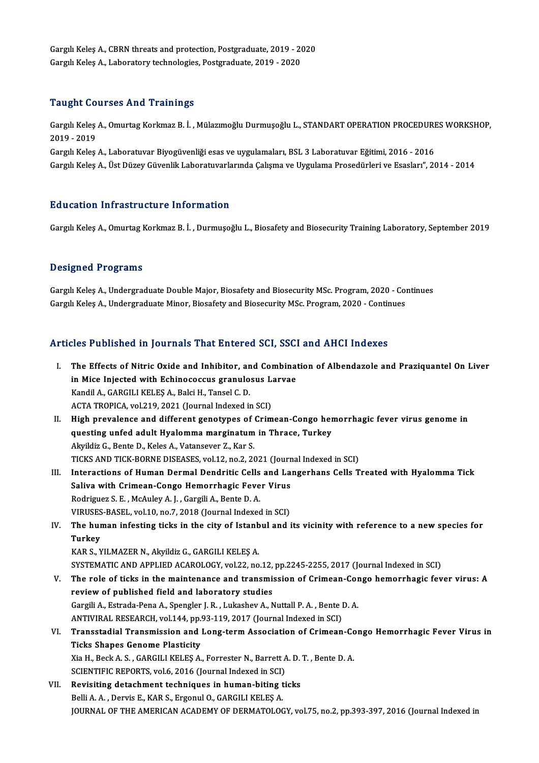Gargılı Keleş A., CBRN threats and protection, Postgraduate, 2019 - 2020<br>Cargılı Keleş A., CBRN threats and protection, Postgraduate, 2019 - 2020 Gargılı Keleş A., CBRN threats and protection, Postgraduate, 2019 - 2(<br>Gargılı Keleş A., Laboratory technologies, Postgraduate, 2019 - 2020 Gargılı Keleş A., Laboratory technologies, Postgraduate, 2019 - 2020<br>Taught Courses And Trainings

Taught Courses And Trainings<br>Gargılı Keleş A., Omurtag Korkmaz B. İ. , Mülazımoğlu Durmuşoğlu L., STANDART OPERATION PROCEDURES WORKSHOP,<br>2019 - 2019 2019 -<br>2019 - 2019<br>2019 - 2019 Gargılı Keleş A., Omurtag Korkmaz B. İ. , Mülazımoğlu Durmuşoğlu L., STANDART OPERATION PROCEDURI<br>2019 - 2019<br>Gargılı Keleş A., Laboratuvar Biyogüvenliği esas ve uygulamaları, BSL 3 Laboratuvar Eğitimi, 2016 - 2016<br>Cargılı

2019 - 2019<br>Gargılı Keleş A., Laboratuvar Biyogüvenliği esas ve uygulamaları, BSL 3 Laboratuvar Eğitimi, 2016 - 2016<br>Gargılı Keles A., Üst Düzev Güvenlik Laboratuvarlarında Calısma ve Uygulama Prosedürleri ve Esasları", 20

## Education Infrastructure Information

Gargılı Keleş A., Omurtag Korkmaz B. İ., Durmuşoğlu L., Biosafety and Biosecurity Training Laboratory, September 2019

## Designed Programs

Gargılı Keleş A., Undergraduate Double Major, Biosafety and Biosecurity MSc. Program, 2020 - Continues Gargılı Keleş A., Undergraduate Minor, Biosafety and Biosecurity MSc. Program, 2020 - Continues

## Articles Published in Journals That Entered SCI, SSCI and AHCI Indexes

rticles Published in Journals That Entered SCI, SSCI and AHCI Indexes<br>I. The Effects of Nitric Oxide and Inhibitor, and Combination of Albendazole and Praziquantel On Liver<br>in Mice Injected with Echineseeaus grapplesus Lar The Effects of Nitric Oxide and Inhibitor, and Combination<br>in Mice Injected with Echinococcus granulosus Larvae<br>Kandil A. GARCH LKELES A. Palsi H. Tangel G. D. in Mice Injected with Echinococcus granulosus Larvae<br>Kandil A., GARGILI KELEŞ A., Balci H., Tansel C. D. ACTA TROPICA, vol.219, 2021 (Journal Indexed in SCI) II. High prevalence and different genotypes of Crimean-Congo hemorrhagic fever virus genome in ACTA TROPICA, vol.219, 2021 (Journal Indexed in SCI)<br>High prevalence and different genotypes of Crimean-Congo her<br>questing unfed adult Hyalomma marginatum in Thrace, Turkey<br>Alvildir C. Bonte D. Kolos A. Vetenseyen 7, Ker S High prevalence and different genotypes of<br>questing unfed adult Hyalomma marginatum<br>Akyildiz G., Bente D., Keles A., Vatansever Z., Kar S.<br>TICKS AND TICK BORNE DISEASES vol 12 no 2 20 questing unfed adult Hyalomma marginatum in Thrace, Turkey<br>Akyildiz G., Bente D., Keles A., Vatansever Z., Kar S.<br>TICKS AND TICK-BORNE DISEASES, vol.12, no.2, 2021 (Journal Indexed in SCI)<br>Interactions of Human Dermal Dend Akyildiz G., Bente D., Keles A., Vatansever Z., Kar S.<br>TICKS AND TICK-BORNE DISEASES, vol.12, no.2, 2021 (Journal Indexed in SCI)<br>III. Interactions of Human Dermal Dendritic Cells and Langerhans Cells Treated with Hyalomma TICKS AND TICK-BORNE DISEASES, vol.12, no.2, 2021 (Journ<br>Interactions of Human Dermal Dendritic Cells and La<br>Saliva with Crimean-Congo Hemorrhagic Fever Virus<br>Bodrigues S.E. MeAulou A.L. Cargili A. Bonta D.A. Interactions of Human Dermal Dendritic Cells<br>Saliva with Crimean-Congo Hemorrhagic Feve<br>Rodriguez S.E., McAuley A.J., Gargili A., Bente D.A.<br>VIBUSES BASEL vol.10, no.7, 2018 (Journal Indoves Saliva with Crimean-Congo Hemorrhagic Fever Virus<br>Rodriguez S. E. , McAuley A. J. , Gargili A., Bente D. A.<br>VIRUSES-BASEL, vol.10, no.7, 2018 (Journal Indexed in SCI)<br>The human infecting ticks in the sity of Istanbul and i Rodriguez S. E. , McAuley A. J. , Gargili A., Bente D. A.<br>VIRUSES-BASEL, vol.10, no.7, 2018 (Journal Indexed in SCI)<br>IV. The human infesting ticks in the city of Istanbul and its vicinity with reference to a new species fo VIRUSES-BASEL, vol.10, no.7, 2018 (Journal Indexed in SCI)<br>The human infesting ticks in the city of Istanbul and<br>Turkey<br>KAR S., YILMAZER N., Akyildiz G., GARGILI KELES A. The human infesting ticks in the city of Istanb<br>Turkey<br>KAR S., YILMAZER N., Akyildiz G., GARGILI KELEŞ A.<br>SYSTEMATIC AND APPLIED ACAPOLOCY VOL22. DQ SYSTEMATICANDAPPLIEDACAROLOGY,vol.22,no.12,pp.2245-2255,2017 (Journal Indexed inSCI) KAR S., YILMAZER N., Akyildiz G., GARGILI KELEŞ A.<br>SYSTEMATIC AND APPLIED ACAROLOGY, vol.22, no.12, pp.2245-2255, 2017 (Journal Indexed in SCI)<br>V. The role of ticks in the maintenance and transmission of Crimean-Congo hemo SYSTEMATIC AND APPLIED ACAROLOGY, vol.22, no.12,<br>The role of ticks in the maintenance and transmis<br>review of published field and laboratory studies The role of ticks in the maintenance and transmission of Crimean-Cor<br>review of published field and laboratory studies<br>Gargili A., Estrada-Pena A., Spengler J. R. , Lukashev A., Nuttall P. A. , Bente D. A.<br>ANTIVIPAL PESEARC review of published field and laboratory studies<br>Gargili A., Estrada-Pena A., Spengler J. R. , Lukashev A., Nuttall P. A. , Bente I<br>ANTIVIRAL RESEARCH, vol.144, pp.93-119, 2017 (Journal Indexed in SCI)<br>Transstadiel Transmi Gargili A., Estrada-Pena A., Spengler J. R. , Lukashev A., Nuttall P. A. , Bente D. A.<br>ANTIVIRAL RESEARCH, vol.144, pp.93-119, 2017 (Journal Indexed in SCI)<br>VI. Transstadial Transmission and Long-term Association of Cr ANTIVIRAL RESEARCH, vol.144, pp.<br>Transstadial Transmission and 1<br>Ticks Shapes Genome Plasticity<br>Via H. Bogh A. S., GARCH LKELES A. Transstadial Transmission and Long-term Association of Crimean-Conticks Shapes Genome Plasticity<br>Xia H., Beck A. S. , GARGILI KELEŞ A., Forrester N., Barrett A. D. T. , Bente D. A.<br>SCIENTIEIC PEPOPTS xp16, 2016 (Jaunnal In Ticks Shapes Genome Plasticity<br>Xia H., Beck A. S. , GARGILI KELEŞ A., Forrester N., Barrett A. D. T. , Bente D. A.<br>SCIENTIFIC REPORTS, vol.6, 2016 (Journal Indexed in SCI)

VII. Revisiting detachment techniques in human-biting ticks Belli A.A., Dervis E., KAR S., Ergonul O., GARGILI KELEŞ A. JOURNAL OF THE AMERICAN ACADEMY OF DERMATOLOGY, vol.75, no.2, pp.393-397, 2016 (Journal Indexed in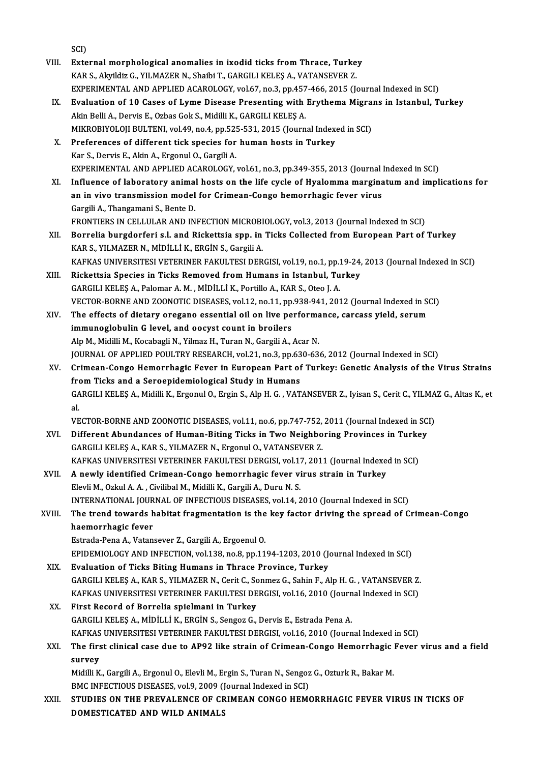|        | SCI)                                                                                                                       |
|--------|----------------------------------------------------------------------------------------------------------------------------|
| VIII.  | External morphological anomalies in ixodid ticks from Thrace, Turkey                                                       |
|        | KAR S., Akyildiz G., YILMAZER N., Shaibi T., GARGILI KELEŞ A., VATANSEVER Z.                                               |
|        | EXPERIMENTAL AND APPLIED ACAROLOGY, vol.67, no.3, pp.457-466, 2015 (Journal Indexed in SCI)                                |
| IX.    | Evaluation of 10 Cases of Lyme Disease Presenting with Erythema Migrans in Istanbul, Turkey                                |
|        | Akin Belli A., Dervis E., Ozbas Gok S., Midilli K., GARGILI KELEȘ A.                                                       |
|        | MIKROBIYOLOJI BULTENI, vol.49, no.4, pp.525-531, 2015 (Journal Indexed in SCI)                                             |
| Х.     | Preferences of different tick species for human hosts in Turkey                                                            |
|        | Kar S., Dervis E., Akin A., Ergonul O., Gargili A.                                                                         |
|        | EXPERIMENTAL AND APPLIED ACAROLOGY, vol.61, no.3, pp.349-355, 2013 (Journal Indexed in SCI)                                |
| XI.    | Influence of laboratory animal hosts on the life cycle of Hyalomma marginatum and implications for                         |
|        | an in vivo transmission model for Crimean-Congo hemorrhagic fever virus                                                    |
|        | Gargili A., Thangamani S., Bente D.                                                                                        |
|        | FRONTIERS IN CELLULAR AND INFECTION MICROBIOLOGY, vol.3, 2013 (Journal Indexed in SCI)                                     |
| XII.   | Borrelia burgdorferi s.l. and Rickettsia spp. in Ticks Collected from European Part of Turkey                              |
|        | KAR S., YILMAZER N., MİDİLLİ K., ERGİN S., Gargili A.                                                                      |
|        | KAFKAS UNIVERSITESI VETERINER FAKULTESI DERGISI, vol.19, no.1, pp.19-24, 2013 (Journal Indexed in SCI)                     |
| XIII.  | Rickettsia Species in Ticks Removed from Humans in Istanbul, Turkey                                                        |
|        | GARGILI KELEȘ A., Palomar A. M., MİDİLLİ K., Portillo A., KAR S., Oteo J. A.                                               |
|        | VECTOR-BORNE AND ZOONOTIC DISEASES, vol.12, no.11, pp.938-941, 2012 (Journal Indexed in SCI)                               |
| XIV.   | The effects of dietary oregano essential oil on live performance, carcass yield, serum                                     |
|        | immunoglobulin G level, and oocyst count in broilers                                                                       |
|        | Alp M., Midilli M., Kocabagli N., Yilmaz H., Turan N., Gargili A., Acar N.                                                 |
|        | JOURNAL OF APPLIED POULTRY RESEARCH, vol.21, no.3, pp.630-636, 2012 (Journal Indexed in SCI)                               |
| XV.    | Crimean-Congo Hemorrhagic Fever in European Part of Turkey: Genetic Analysis of the Virus Strains                          |
|        | from Ticks and a Seroepidemiological Study in Humans                                                                       |
|        | GARGILI KELEŞ A., Midilli K., Ergonul O., Ergin S., Alp H. G., VATANSEVER Z., Iyisan S., Cerit C., YILMAZ G., Altas K., et |
|        | al.<br>VECTOR-BORNE AND ZOONOTIC DISEASES, vol.11, no.6, pp.747-752, 2011 (Journal Indexed in SCI)                         |
| XVI.   | Different Abundances of Human-Biting Ticks in Two Neighboring Provinces in Turkey                                          |
|        | GARGILI KELEŞ A., KAR S., YILMAZER N., Ergonul O., VATANSEVER Z.                                                           |
|        | KAFKAS UNIVERSITESI VETERINER FAKULTESI DERGISI, vol.17, 2011 (Journal Indexed in SCI)                                     |
| XVII.  | A newly identified Crimean-Congo hemorrhagic fever virus strain in Turkey                                                  |
|        | Elevli M., Ozkul A. A., Civilibal M., Midilli K., Gargili A., Duru N. S.                                                   |
|        | INTERNATIONAL JOURNAL OF INFECTIOUS DISEASES, vol.14, 2010 (Journal Indexed in SCI)                                        |
| XVIII. | The trend towards habitat fragmentation is the key factor driving the spread of Crimean-Congo                              |
|        | haemorrhagic fever                                                                                                         |
|        | Estrada-Pena A., Vatansever Z., Gargili A., Ergoenul O.                                                                    |
|        | EPIDEMIOLOGY AND INFECTION, vol.138, no.8, pp.1194-1203, 2010 (Journal Indexed in SCI)                                     |
| XIX.   | Evaluation of Ticks Biting Humans in Thrace Province, Turkey                                                               |
|        | GARGILI KELEŞ A., KAR S., YILMAZER N., Cerit C., Sonmez G., Sahin F., Alp H. G., VATANSEVER Z.                             |
|        | KAFKAS UNIVERSITESI VETERINER FAKULTESI DERGISI, vol.16, 2010 (Journal Indexed in SCI)                                     |
| XX.    | First Record of Borrelia spielmani in Turkey                                                                               |
|        | GARGILI KELEȘ A., MİDİLLİ K., ERGİN S., Sengoz G., Dervis E., Estrada Pena A.                                              |
|        | KAFKAS UNIVERSITESI VETERINER FAKULTESI DERGISI, vol.16, 2010 (Journal Indexed in SCI)                                     |
| XXI.   | The first clinical case due to AP92 like strain of Crimean-Congo Hemorrhagic Fever virus and a field                       |
|        | survey                                                                                                                     |
|        | Midilli K., Gargili A., Ergonul O., Elevli M., Ergin S., Turan N., Sengoz G., Ozturk R., Bakar M.                          |
|        | BMC INFECTIOUS DISEASES, vol.9, 2009 (Journal Indexed in SCI)                                                              |
| XXII.  | STUDIES ON THE PREVALENCE OF CRIMEAN CONGO HEMORRHAGIC FEVER VIRUS IN TICKS OF                                             |
|        | DOMESTICATED AND WILD ANIMALS                                                                                              |
|        |                                                                                                                            |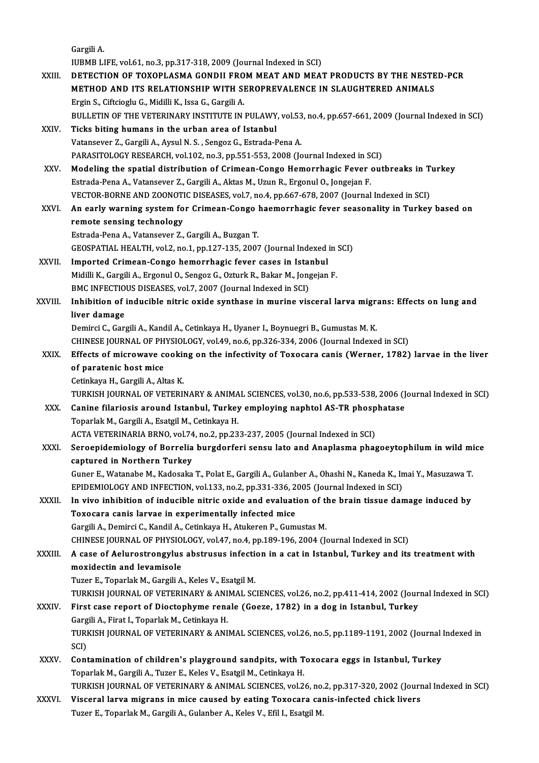GargiliA. IUBMBLIFE,vol.61,no.3,pp.317-318,2009 (Journal Indexed inSCI) Gargili A.<br>IUBMB LIFE, vol.61, no.3, pp.317-318, 2009 (Journal Indexed in SCI)<br>XXIII. DETECTION OF TOXOPLASMA GONDII FROM MEAT AND MEAT PRODUCTS BY THE NESTED-PCR<br>METHOD AND ITS RELATIONSHIP WITH SEROPREVALENCE IN SLAU IUBMB LIFE, vol.61, no.3, pp.317-318, 2009 (Journal Indexed in SCI)<br>DETECTION OF TOXOPLASMA GONDII FROM MEAT AND MEAT PRODUCTS BY THE NESTE<br>METHOD AND ITS RELATIONSHIP WITH SEROPREVALENCE IN SLAUGHTERED ANIMALS<br>Frain S. Ci METHOD AND ITS RELATIONSHIP WITH SEROPREVALENCE IN SLAUGHTERED ANIMALS<br>Ergin S., Ciftcioglu G., Midilli K., Issa G., Gargili A. METHOD AND ITS RELATIONSHIP WITH SEROPREVALENCE IN SLAUGHTERED ANIMALS<br>Ergin S., Ciftcioglu G., Midilli K., Issa G., Gargili A.<br>BULLETIN OF THE VETERINARY INSTITUTE IN PULAWY, vol.53, no.4, pp.657-661, 2009 (Journal Indexe Ergin S., Ciftcioglu G., Midilli K., Issa G., Gargili A.<br>BULLETIN OF THE VETERINARY INSTITUTE IN PULAWY<br>XXIV. Ticks biting humans in the urban area of Istanbul<br>Vetancever 7, Cargili A. Aveul N.S., Senger C. Estrada B BULLETIN OF THE VETERINARY INSTITUTE IN PULAWY, vol.53<br>Ticks biting humans in the urban area of Istanbul<br>Vatansever Z., Gargili A., Aysul N. S. , Sengoz G., Estrada-Pena A.<br>PARASITOLOCY PESEARCH vol.192 no.2 nn 551 552 200 Ticks biting humans in the urban area of Istanbul<br>Vatansever Z., Gargili A., Aysul N. S. , Sengoz G., Estrada-Pena A.<br>PARASITOLOGY RESEARCH, vol.102, no.3, pp.551-553, 2008 (Journal Indexed in SCI) Vatansever Z., Gargili A., Aysul N. S. , Sengoz G., Estrada-Pena A.<br>PARASITOLOGY RESEARCH, vol.102, no.3, pp.551-553, 2008 (Journal Indexed in SCI)<br>XXV. Modeling the spatial distribution of Crimean-Congo Hemorrhagic Fever PARASITOLOGY RESEARCH, vol.102, no.3, pp.551-553, 2008 (Journal Indexed in St.<br>Modeling the spatial distribution of Crimean-Congo Hemorrhagic Fever<br>Estrada-Pena A., Vatansever Z., Gargili A., Aktas M., Uzun R., Ergonul O., Modeling the spatial distribution of Crimean-Congo Hemorrhagic Fever outbreaks in T<br>Estrada-Pena A., Vatansever Z., Gargili A., Aktas M., Uzun R., Ergonul O., Jongejan F.<br>VECTOR-BORNE AND ZOONOTIC DISEASES, vol.7, no.4, pp Estrada-Pena A., Vatansever Z., Gargili A., Aktas M., Uzun R., Ergonul O., Jongejan F.<br>VECTOR-BORNE AND ZOONOTIC DISEASES, vol.7, no.4, pp.667-678, 2007 (Journal Indexed in SCI)<br>XXVI. An early warning system for Crimea remote sensing technology Estrada-PenaA.,Vatansever Z.,GargiliA.,BuzganT. remote sensing technology<br>Estrada-Pena A., Vatansever Z., Gargili A., Buzgan T.<br>GEOSPATIAL HEALTH, vol.2, no.1, pp.127-135, 2007 (Journal Indexed in SCI)<br>Imported Crimean Congo bemorrhagia fovor cases in Istanbul. Estrada-Pena A., Vatansever Z., Gargili A., Buzgan T.<br>GEOSPATIAL HEALTH, vol.2, no.1, pp.127-135, 2007 (Journal Indexed :<br>XXVII. Imported Crimean-Congo hemorrhagic fever cases in Istanbul<br>Midilli K. Congili A. Engenul O. S GEOSPATIAL HEALTH, vol.2, no.1, pp.127-135, 2007 (Journal Indexed in Imported Crimean-Congo hemorrhagic fever cases in Istanbul<br>Midilli K., Gargili A., Ergonul O., Sengoz G., Ozturk R., Bakar M., Jongejan F.<br>PMC INFECTIOUS Imported Crimean-Congo hemorrhagic fever cases in Istal<br>Midilli K., Gargili A., Ergonul O., Sengoz G., Ozturk R., Bakar M., Jong<br>BMC INFECTIOUS DISEASES, vol.7, 2007 (Journal Indexed in SCI)<br>Inhibition of indusible nitris Midilli K., Gargili A., Ergonul O., Sengoz G., Ozturk R., Bakar M., Jongejan F.<br>BMC INFECTIOUS DISEASES, vol.7, 2007 (Journal Indexed in SCI)<br>XXVIII. Inhibition of inducible nitric oxide synthase in murine visceral lar **BMC INFECTIO**<br>Inhibition of i<br>liver damage<br>Domirci C. Corr Inhibition of inducible nitric oxide synthase in murine visceral larva migrantiver damage<br>Iiver damage<br>Demirci C., Gargili A., Kandil A., Cetinkaya H., Uyaner I., Boynuegri B., Gumustas M. K.<br>CHINESE IQUENAL OF PHYSIOLOCY liver damage<br>Demirci C., Gargili A., Kandil A., Cetinkaya H., Uyaner I., Boynuegri B., Gumustas M. K.<br>CHINESE JOURNAL OF PHYSIOLOGY, vol.49, no.6, pp.326-334, 2006 (Journal Indexed in SCI)<br>Effects of misrousyse sooking on Demirci C., Gargili A., Kandil A., Cetinkaya H., Uyaner I., Boynuegri B., Gumustas M. K.<br>CHINESE JOURNAL OF PHYSIOLOGY, vol.49, no.6, pp.326-334, 2006 (Journal Indexed in SCI)<br>XXIX. Effects of microwave cooking on the infe CHINESE JOURNAL OF PH<br>Effects of microwave co<br>of paratenic host mice Effects of microwave cookin<br>of paratenic host mice<br>Cetinkaya H., Gargili A., Altas K.<br>TURKISH JOURNAL OF VETERU of paratenic host mice<br>Cetinkaya H., Gargili A., Altas K.<br>TURKISH JOURNAL OF VETERINARY & ANIMAL SCIENCES, vol.30, no.6, pp.533-538, 2006 (Journal Indexed in SCI) Cetinkaya H., Gargili A., Altas K.<br>TURKISH JOURNAL OF VETERINARY & ANIMAL SCIENCES, vol.30, no.6, pp.533-538, 2006 (J<br>XXX. Canine filariosis around Istanbul, Turkey employing naphtol AS-TR phosphatase<br>Tenerlek M. Cargili A Toparlak M., Gargili A., Esatgil M., Cetinkaya H. Canine filariosis around Istanbul, Turkey employing naphtol AS-TR phosp<br>Toparlak M., Gargili A., Esatgil M., Cetinkaya H.<br>ACTA VETERINARIA BRNO, vol.74, no.2, pp.233-237, 2005 (Journal Indexed in SCI)<br>Sanaanidamialagu of B XXXI. Seroepidemiology of Borrelia burgdorferi sensu lato and Anaplasma phagoeytophilum in wild mice<br>captured in Northern Turkey ACTA VETERINARIA BRNO, vol.74, no.2, pp.233-237, 2005 (Journal Indexed in SCI) Seroepidemiology of Borrelia burgdorferi sensu lato and Anaplasma phagoeytophilum in wild mi<br>captured in Northern Turkey<br>Guner E., Watanabe M., Kadosaka T., Polat E., Gargili A., Gulanber A., Ohashi N., Kaneda K., Imai Y., captured in Northern Turkey<br>Guner E., Watanabe M., Kadosaka T., Polat E., Gargili A., Gulanber A., Ohashi N., Kaneda K., In<br>EPIDEMIOLOGY AND INFECTION, vol.133, no.2, pp.331-336, 2005 (Journal Indexed in SCI)<br>In vive inhib Guner E., Watanabe M., Kadosaka T., Polat E., Gargili A., Gulanber A., Ohashi N., Kaneda K., Imai Y., Masuzawa T.<br>EPIDEMIOLOGY AND INFECTION, vol.133, no.2, pp.331-336, 2005 (Journal Indexed in SCI)<br>XXXII. In vivo inhibiti EPIDEMIOLOGY AND INFECTION, vol.133, no.2, pp.331-336, 2005 (Journal Indexed in SCI)<br>In vivo inhibition of inducible nitric oxide and evaluation of the brain tissue dan<br>Toxocara canis larvae in experimentally infected mice In vivo inhibition of inducible nitric oxide and evaluation of the brain tissue damage induced by Toxocara canis larvae in experimentally infected mice<br>Gargili A., Demirci C., Kandil A., Cetinkaya H., Atukeren P., Gumustas M.<br>CHINESE JOURNAL OF PHYSIOLOGY, vol.47, no.4, pp.189-196, 2004 (Journal Indexed in SCI)<br>A sase Gargili A., Demirci C., Kandil A., Cetinkaya H., Atukeren P., Gumustas M.<br>CHINESE JOURNAL OF PHYSIOLOGY, vol.47, no.4, pp.189-196, 2004 (Journal Indexed in SCI)<br>XXXIII. A case of Aelurostrongylus abstrusus infection in a c CHINESE JOURNAL OF PHYSIO<br>A case of Aelurostrongylus<br>moxidectin and levamisole<br>Tugar E. Toparlek M. Cargili A. A case of Aelurostrongylus abstrusus infecti<br>moxidectin and levamisole<br>Tuzer E., Toparlak M., Gargili A., Keles V., Esatgil M.<br>TURKISH JOURNAL OF VETERINARY & ANIMAL SC moxidectin and levamisole<br>Tuzer E., Toparlak M., Gargili A., Keles V., Esatgil M.<br>TURKISH JOURNAL OF VETERINARY & ANIMAL SCIENCES, vol.26, no.2, pp.411-414, 2002 (Journal Indexed in SCI)<br>First sase repert of Diestenbume re Tuzer E., Toparlak M., Gargili A., Keles V., Esatgil M.<br>TURKISH JOURNAL OF VETERINARY & ANIMAL SCIENCES, vol.26, no.2, pp.411-414, 2002 (Jour<br>XXXIV. First case report of Dioctophyme renale (Goeze, 1782) in a dog in Istanbu TURKISH JOURNAL OF VETERINARY & ANI<br>First case report of Dioctophyme rena<br>Gargili A., Firat I., Toparlak M., Cetinkaya H.<br>TURKISH JOURNAL OF VETERINARY & ANI First case report of Dioctophyme renale (Goeze, 1782) in a dog in Istanbul, Turkey<br>Gargili A., Firat I., Toparlak M., Cetinkaya H.<br>TURKISH JOURNAL OF VETERINARY & ANIMAL SCIENCES, vol.26, no.5, pp.1189-1191, 2002 (Journal Gargili A., Firat I., Toparlak M., Cetinkaya H. TURKISH JOURNAL OF VETERINARY & ANIMAL SCIENCES, vol.26, no.5, pp.1189-1191, 2002 (Journal<br>SCI)<br>XXXV. Contamination of children's playground sandpits, with Toxocara eggs in Istanbul, Turkey<br>Tonorlek M. Corgili A. Tuger E. SCI)<br>Contamination of children's playground sandpits, with T<br>Toparlak M., Gargili A., Tuzer E., Keles V., Esatgil M., Cetinkaya H.<br>TURKISH JOURNAL OF VETERINARY & ANIMAL SCIENCES, vol.2 Toparlak M., Gargili A., Tuzer E., Keles V., Esatgil M., Cetinkaya H.<br>TURKISH JOURNAL OF VETERINARY & ANIMAL SCIENCES, vol.26, no.2, pp.317-320, 2002 (Journal Indexed in SCI) XXXVI. Visceral larva migrans in mice caused by eating Toxocara canis-infected chick livers Tuzer E., Toparlak M., Gargili A., Gulanber A., Keles V., Efil I., Esatgil M.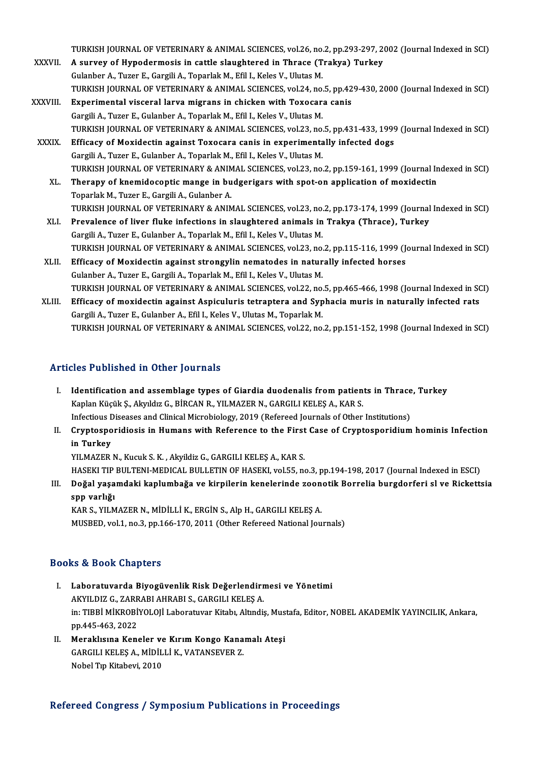TURKISH JOURNAL OF VETERINARY & ANIMAL SCIENCES, vol.26, no.2, pp.293-297, 2002 (Journal Indexed in SCI)<br>A survey of Hypodermesis in settle slaughtered in Threes (Trakys) Turkey

- TURKISH JOURNAL OF VETERINARY & ANIMAL SCIENCES, vol.26, no.2, pp.293-297, 20<br>XXXVII. A survey of Hypodermosis in cattle slaughtered in Thrace (Trakya) Turkey TURKISH JOURNAL OF VETERINARY & ANIMAL SCIENCES, vol.26, no.<br>A survey of Hypodermosis in cattle slaughtered in Thrace (T<br>Gulanber A., Tuzer E., Gargili A., Toparlak M., Efil I., Keles V., Ulutas M.<br>TURKISH JOURNAL OF VETER A survey of Hypodermosis in cattle slaughtered in Thrace (Trakya) Turkey<br>Gulanber A., Tuzer E., Gargili A., Toparlak M., Efil I., Keles V., Ulutas M.<br>TURKISH JOURNAL OF VETERINARY & ANIMAL SCIENCES, vol.24, no.5, pp.429-43
- XXXVIII. Experimental visceral larva migrans in chicken with Toxocara canis Gargili A., Tuzer E., Gulanber A., Toparlak M., Efil I., Keles V., Ulutas M. Experimental visceral larva migrans in chicken with Toxocara canis<br>Gargili A., Tuzer E., Gulanber A., Toparlak M., Efil I., Keles V., Ulutas M.<br>TURKISH JOURNAL OF VETERINARY & ANIMAL SCIENCES, vol.23, no.5, pp.431-433, 199 Gargili A., Tuzer E., Gulanber A., Toparlak M., Efil I., Keles V., Ulutas M.<br>TURKISH JOURNAL OF VETERINARY & ANIMAL SCIENCES, vol.23, no.5, pp.431-433, 1999<br>XXXIX. Efficacy of Moxidectin against Toxocara canis in experimen
	- Efficacy of Moxidectin against Toxocara canis in experimentally infected dogs Gargili A., Tuzer E., Gulanber A., Toparlak M., Efil I., Keles V., Ulutas M. Efficacy of Moxidectin against Toxocara canis in experimentally infected dogs<br>Gargili A., Tuzer E., Gulanber A., Toparlak M., Efil I., Keles V., Ulutas M.<br>TURKISH JOURNAL OF VETERINARY & ANIMAL SCIENCES, vol.23, no.2, pp.1 Gargili A., Tuzer E., Gulanber A., Toparlak M., Efil I., Keles V., Ulutas M.<br>TURKISH JOURNAL OF VETERINARY & ANIMAL SCIENCES, vol.23, no.2, pp.159-161, 1999 (Journal In<br>XL. Therapy of knemidocoptic mange in budgerigars wit
		- TURKISH JOURNAL OF VETERINARY & ANIM<br>Therapy of knemidocoptic mange in bu<br>Toparlak M., Tuzer E., Gargili A., Gulanber A.<br>TURKISH JOURNAL OF VETERINARY & ANIM Therapy of knemidocoptic mange in budgerigars with spot-on application of moxidectin<br>Toparlak M., Tuzer E., Gargili A., Gulanber A.<br>TURKISH JOURNAL OF VETERINARY & ANIMAL SCIENCES, vol.23, no.2, pp.173-174, 1999 (Journal I Toparlak M., Tuzer E., Gargili A., Gulanber A.<br>TURKISH JOURNAL OF VETERINARY & ANIMAL SCIENCES, vol.23, no.2, pp.173-174, 1999 (Journal<br>XLI. Prevalence of liver fluke infections in slaughtered animals in Trakya (Thrace), T
		- TURKISH JOURNAL OF VETERINARY & ANIMAL SCIENCES, vol.23, no.<br>Prevalence of liver fluke infections in slaughtered animals in<br>Gargili A., Tuzer E., Gulanber A., Toparlak M., Efil I., Keles V., Ulutas M.<br>TURKISH JOURNAL OF VE Prevalence of liver fluke infections in slaughtered animals in Trakya (Thrace), Turkey<br>Gargili A., Tuzer E., Gulanber A., Toparlak M., Efil I., Keles V., Ulutas M.<br>TURKISH JOURNAL OF VETERINARY & ANIMAL SCIENCES, vol.23, n Gargili A., Tuzer E., Gulanber A., Toparlak M., Efil I., Keles V., Ulutas M.<br>TURKISH JOURNAL OF VETERINARY & ANIMAL SCIENCES, vol.23, no.2, pp.115-116, 1999 (J.<br>XLII. Efficacy of Moxidectin against strongylin nematodes in
	- TURKISH JOURNAL OF VETERINARY & ANIMAL SCIENCES, vol.23, no.<br>Efficacy of Moxidectin against strongylin nematodes in natur<br>Gulanber A., Tuzer E., Gargili A., Toparlak M., Efil I., Keles V., Ulutas M.<br>TURKISH JOURNAL OF VETE Efficacy of Moxidectin against strongylin nematodes in naturally infected horses<br>Gulanber A., Tuzer E., Gargili A., Toparlak M., Efil I., Keles V., Ulutas M.<br>TURKISH JOURNAL OF VETERINARY & ANIMAL SCIENCES, vol.22, no.5, p Gulanber A., Tuzer E., Gargili A., Toparlak M., Efil I., Keles V., Ulutas M.<br>TURKISH JOURNAL OF VETERINARY & ANIMAL SCIENCES, vol.22, no.5, pp.465-466, 1998 (Journal Indexed in SC<br>XLIII. Efficacy of moxidectin against Aspi
	- TURKISH JOURNAL OF VETERINARY & ANIMAL SCIENCES, vol.22, no.<br>Efficacy of moxidectin against Aspiculuris tetraptera and Syp<br>Gargili A., Tuzer E., Gulanber A., Efil I., Keles V., Ulutas M., Toparlak M.<br>TURKISH JOURNAL OF VET Efficacy of moxidectin against Aspiculuris tetraptera and Syphacia muris in naturally infected rats<br>Gargili A., Tuzer E., Gulanber A., Efil I., Keles V., Ulutas M., Toparlak M.<br>TURKISH JOURNAL OF VETERINARY & ANIMAL SCIENC TURKISH JOURNAL OF VETERINARY & ANIMAL SCIENCES, vol.22, no.2, pp.151-152, 1998 (Journal Indexed in SCI)<br>Articles Published in Other Journals

- I. Identification and assemblage types of Giardia duodenalis from patients in Thrace, Turkey<br>I. Identification and assemblage types of Giardia duodenalis from patients in Thrace, Turkey XES 1 dentification and assemblage types of Giardia duodenalis from patien<br>Kaplan Küçük Ş., Akyıldız G., BİRCAN R., YILMAZER N., GARGILI KELEŞ A., KAR S.<br>Infectious Diseases and Clinical Misrobiology, 2010 (Beforeed Journa Identification and assemblage types of Giardia duodenalis from patients in Thrace<br>Kaplan Küçük Ş., Akyıldız G., BİRCAN R., YILMAZER N., GARGILI KELEŞ A., KAR S.<br>Infectious Diseases and Clinical Microbiology, 2019 (Refereed Kaplan Küçük Ş., Akyıldız G., BİRCAN R., YILMAZER N., GARGILI KELEŞ A., KAR S.<br>Infectious Diseases and Clinical Microbiology, 2019 (Refereed Journals of Other Institutions)<br>II. Cryptosporidiosis in Humans with Referenc
- Infectious <mark>I</mark><br>Cryptospo<br>in Turkey<br><sup>VII MA7EP</sup> Cryptosporidiosis in Humans with Reference to the First<br>in Turkey<br>YILMAZER N., Kucuk S. K. , Akyildiz G., GARGILI KELEŞ A., KAR S.<br>HASEKLTIP PULTENL MEDICAL PULLETIN OF HASEKLY YOLEE B i**n Turkey**<br>YILMAZER N., Kucuk S. K. , Akyildiz G., GARGILI KELEŞ A., KAR S.<br>HASEKI TIP BULTENI-MEDICAL BULLETIN OF HASEKI, vol.55, no.3, pp.194-198, 2017 (Journal Indexed in ESCI)

YILMAZER N., Kucuk S. K. , Akyildiz G., GARGILI KELEŞ A., KAR S.<br>HASEKI TIP BULTENI-MEDICAL BULLETIN OF HASEKI, vol.55, no.3, pp.194-198, 2017 (Journal Indexed in ESCI)<br>III. Doğal yaşamdaki kaplumbağa ve kirpilerin ken HASEKI TIP<br>Doğal yaşa<br>spp varlığı<br>KAR S. YU M spp varlığı<br>KAR S., YILMAZER N., MİDİLLİ K., ERGİN S., Alp H., GARGILI KELEŞ A.

MUSBED, vol.1, no.3, pp.166-170, 2011 (Other Refereed National Journals)

## Books&Book Chapters

- I. Laboratuvarda Biyogüvenlik Risk Değerlendirmesi ve Yönetimi tə & Book anapters<br>Laboratuvarda Biyogüvenlik Risk Değerlendirı<br>AKYILDIZ G., ZARRABI AHRABI S., GARGILI KELEŞ A.<br>in: TIPPİ MİKROPİYOLOU Leberstuyer Kitebi Altındı. in: TIBBİ MİKROBİYOLOJİ Laboratuvar Kitabı, Altındiş, Mustafa, Editor, NOBEL AKADEMİK YAYINCILIK, Ankara,<br>pp.445-463, 2022 AKYILDIZ G., ZARR<br>in: TIBBİ MİKROBİ<br>pp.445-463, 2022<br>Maraklısına Kana in: TIBBİ MİKROBİYOLOJİ Laboratuvar Kitabı, Altındiş, Mus<br>pp.445-463, 2022<br>II. Meraklısına Keneler ve Kırım Kongo Kanamalı Ateşi<br>CARCU LEE ES A MİDİLLİ K. VATANSEVER 7
- pp.445-463, 2022<br>Meraklısına Keneler ve Kırım Kongo Kana<br>GARGILI KELEŞ A., MİDİLLİ K., VATANSEVER Z.<br>Nebel Tın Kitabevi 2010 Meraklısına Keneler ve<br>GARGILI KELEŞ A., MİDİL<br>Nobel Tıp Kitabevi, 2010

## Nobel Tıp Kitabevi, 2010<br>Refereed Congress / Symposium Publications in Proceedings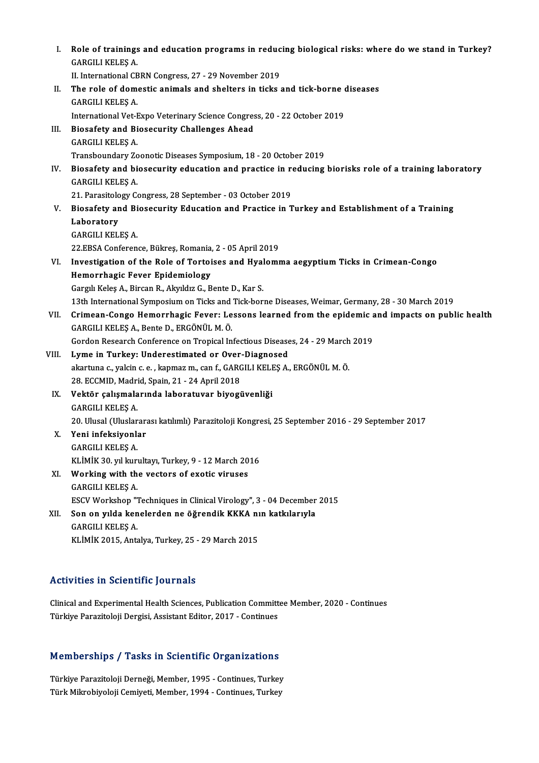| L     | Role of trainings and education programs in reducing biological risks: where do we stand in Turkey? |
|-------|-----------------------------------------------------------------------------------------------------|
|       | GARGILI KELEŞ A                                                                                     |
|       | II. International CBRN Congress, 27 - 29 November 2019                                              |
| Н.    | The role of domestic animals and shelters in ticks and tick-borne diseases                          |
|       | GARGILI KELEŞ A                                                                                     |
|       | International Vet-Expo Veterinary Science Congress, 20 - 22 October 2019                            |
| III.  | Biosafety and Biosecurity Challenges Ahead                                                          |
|       | <b>GARGILI KELEŞ A.</b>                                                                             |
|       | Transboundary Zoonotic Diseases Symposium, 18 - 20 October 2019                                     |
| IV.   | Biosafety and biosecurity education and practice in reducing biorisks role of a training laboratory |
|       | <b>GARGILI KELEŞ A.</b>                                                                             |
|       | 21. Parasitology Congress, 28 September - 03 October 2019                                           |
| V.    | Biosafety and Biosecurity Education and Practice in Turkey and Establishment of a Training          |
|       | Laboratory                                                                                          |
|       | GARGILI KELEŞ A                                                                                     |
|       | 22 EBSA Conference, Bükreş, Romania, 2 - 05 April 2019                                              |
| VI.   | Investigation of the Role of Tortoises and Hyalomma aegyptium Ticks in Crimean-Congo                |
|       | Hemorrhagic Fever Epidemiology                                                                      |
|       | Gargılı Keleş A., Bircan R., Akyıldız G., Bente D., Kar S.                                          |
|       | 13th International Symposium on Ticks and Tick-borne Diseases, Weimar, Germany, 28 - 30 March 2019  |
| VII.  | Crimean-Congo Hemorrhagic Fever: Lessons learned from the epidemic and impacts on public health     |
|       | GARGILI KELEŞ A., Bente D., ERGÖNÜL M. Ö.                                                           |
|       | Gordon Research Conference on Tropical Infectious Diseases, 24 - 29 March 2019                      |
| VIII. | Lyme in Turkey: Underestimated or Over-Diagnosed                                                    |
|       | akartuna c., yalcin c. e., kapmaz m., can f., GARGILI KELEŞ A., ERGÖNÜL M. Ö.                       |
|       | 28. ECCMID, Madrid, Spain, 21 - 24 April 2018                                                       |
| IX.   | Vektör çalışmalarında laboratuvar biyogüvenliği<br><b>GARGILI KELEŞ A.</b>                          |
|       | 20. Ulusal (Uluslararası katılımlı) Parazitoloji Kongresi, 25 September 2016 - 29 September 2017    |
| Х.    | Yeni infeksiyonlar                                                                                  |
|       | <b>GARGILI KELEŞ A.</b>                                                                             |
|       | KLİMİK 30. yıl kurultayı, Turkey, 9 - 12 March 2016                                                 |
| XI.   | Working with the vectors of exotic viruses                                                          |
|       | <b>GARGILI KELES A</b>                                                                              |
|       | ESCV Workshop "Techniques in Clinical Virology", 3 - 04 December 2015                               |
| XII.  | Son on yılda kenelerden ne öğrendik KKKA nın katkılarıyla                                           |
|       | GARGILI KELEŞ A.                                                                                    |
|       | KLİMİK 2015, Antalya, Turkey, 25 - 29 March 2015                                                    |
|       |                                                                                                     |

## Activities in Scientific Journals

Activities in Scientific Journals<br>Clinical and Experimental Health Sciences, Publication Committee Member, 2020 - Continues<br>Türkiye Peregitaleji Dergisi, Assistant Editor, 2017, Continues TIGEN TECO TH' OCTONENTE JOUT NUID<br>Clinical and Experimental Health Sciences, Publication Committ<br>Türkiye Parazitoloji Dergisi, Assistant Editor, 2017 - Continues

# Turkiye Parazitoloji Dergisi, Assistant Editor, 2017 - Continues<br>Memberships / Tasks in Scientific Organizations

Memberships / Tasks in Scientific Organizations<br>Türkiye Parazitoloji Derneği, Member, 1995 - Continues, Turkey<br>Türk Milmebiyeleji Cemiyeti Member, 1994 - Centinues, Turkey Türkiye Parazitoloji Derneği, Member, 1995 - Continues, Turkey<br>Türk Mikrobiyoloji Cemiyeti, Member, 1994 - Continues, Turkey